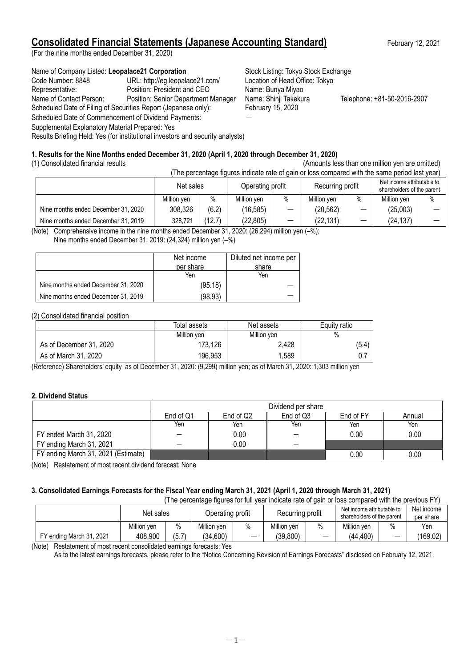# **Consolidated Financial Statements (Japanese Accounting Standard)** February 12, 2021

(For the nine months ended December 31, 2020)

### Name of Company Listed: Leopalace21 Corporation **Stock Listing: Tokyo Stock Exchange**

Code Number: 8848 URL: http://eg.leopalace21.com/ Location of Head Office: Tokyo Representative: Position: President and CEO Name: Bunya Miyao Name of Contact Person: Position: Senior Department Manager Name: Shinji Takekura Telephone: +81-50-2016-2907 Scheduled Date of Filing of Securities Report (Japanese only): February 15, 2020 Scheduled Date of Commencement of Dividend Payments:

Supplemental Explanatory Material Prepared: Yes

Results Briefing Held: Yes (for institutional investors and security analysts)

### **1. Results for the Nine Months ended December 31, 2020 (April 1, 2020 through December 31, 2020)**

## (1) Consolidated financial results (Amounts less than one million yen are omitted)

|                                     | Net sales   |        | Operating profit |                          | Recurring profit |     | Net income attributable to<br>shareholders of the parent |      |
|-------------------------------------|-------------|--------|------------------|--------------------------|------------------|-----|----------------------------------------------------------|------|
|                                     | Million ven | $\%$   | Million yen      | %                        | Million yen      | 0/2 | Million ven                                              | $\%$ |
| Nine months ended December 31, 2020 | 308,326     | (6.2)  | (16, 585)        | $\overline{\phantom{0}}$ | (20, 562)        |     | (25,003)                                                 |      |
| Nine months ended December 31, 2019 | 328,721     | (12.7) | (22, 805)        |                          | (22, 131)        |     | (24, 137)                                                |      |

(Note) Comprehensive income in the nine months ended December 31, 2020: (26,294) million yen (–%); Nine months ended December 31, 2019: (24,324) million yen (–%)

|                                     | Net income | Diluted net income per |
|-------------------------------------|------------|------------------------|
|                                     | per share  | share                  |
|                                     | Yen        | Yen                    |
| Nine months ended December 31, 2020 | (95.18)    |                        |
| Nine months ended December 31, 2019 | (98.93)    |                        |

(2) Consolidated financial position

|                         | Total assets | Net assets  | Equity ratio |
|-------------------------|--------------|-------------|--------------|
|                         | Million yen  | Million yen | $\%$         |
| As of December 31, 2020 | 173,126      | 2,428       | (5.4)        |
| As of March 31, 2020    | 196,953      | 1,589       |              |

(Reference) Shareholders' equity as of December 31, 2020: (9,299) million yen; as of March 31, 2020: 1,303 million yen

### **2. Dividend Status**

|                                     | Dividend per share |                                               |     |      |      |  |  |  |
|-------------------------------------|--------------------|-----------------------------------------------|-----|------|------|--|--|--|
|                                     | End of Q1          | End of Q2<br>End of Q3<br>End of FY<br>Annual |     |      |      |  |  |  |
|                                     | Yen                | Yen                                           | Yen | Yen  | Yen  |  |  |  |
| FY ended March 31, 2020             |                    | 0.00                                          |     | 0.00 | 0.00 |  |  |  |
| FY ending March 31, 2021            |                    | 0.00                                          | –   |      |      |  |  |  |
| FY ending March 31, 2021 (Estimate) |                    |                                               |     | 0.00 | 0.00 |  |  |  |

(Note) Restatement of most recent dividend forecast: None

### **3. Consolidated Earnings Forecasts for the Fiscal Year ending March 31, 2021 (April 1, 2020 through March 31, 2021)**

| (The percentage figures for full year indicate rate of gain or loss compared with the previous FY) |             |       |                                      |                          |             |                                                          |             |                          |                         |
|----------------------------------------------------------------------------------------------------|-------------|-------|--------------------------------------|--------------------------|-------------|----------------------------------------------------------|-------------|--------------------------|-------------------------|
|                                                                                                    | Net sales   |       | Recurring profit<br>Operating profit |                          |             | Net income attributable to<br>shareholders of the parent |             |                          | Net income<br>per share |
|                                                                                                    | Million ven | $\%$  | Million ven                          | $\%$                     | Million ven | %                                                        | Million ven | $\%$                     | Yen                     |
| FY ending March 31, 2021                                                                           | 408,900     | (5.7) | (34,600)                             | $\overline{\phantom{m}}$ | (39, 800)   |                                                          | (44, 400)   | $\overline{\phantom{0}}$ | (169.02)                |

(Note) Restatement of most recent consolidated earnings forecasts: Yes

As to the latest earnings forecasts, please refer to the "Notice Concerning Revision of Earnings Forecasts" disclosed on February 12, 2021.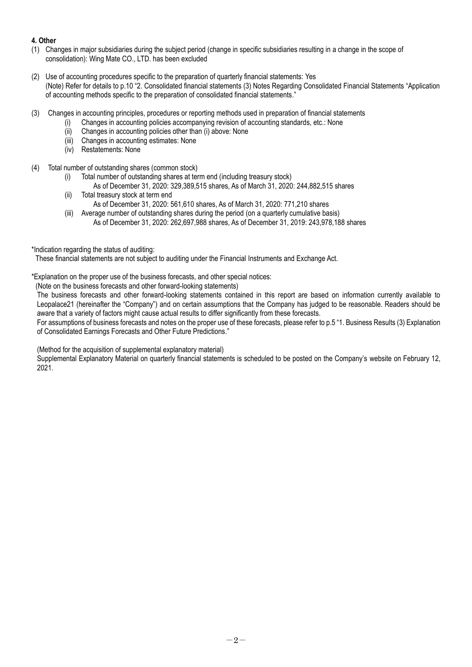### **4. Other**

- (1) Changes in major subsidiaries during the subject period (change in specific subsidiaries resulting in a change in the scope of consolidation): Wing Mate CO., LTD. has been excluded
- (2) Use of accounting procedures specific to the preparation of quarterly financial statements: Yes (Note) Refer for details to p.10 "2. Consolidated financial statements (3) Notes Regarding Consolidated Financial Statements "Application of accounting methods specific to the preparation of consolidated financial statements."
- (3) Changes in accounting principles, procedures or reporting methods used in preparation of financial statements
	- (i) Changes in accounting policies accompanying revision of accounting standards, etc.: None
		- (ii) Changes in accounting policies other than (i) above: None
	- (iii) Changes in accounting estimates: None
	- (iv) Restatements: None
- (4) Total number of outstanding shares (common stock)
	- (i) Total number of outstanding shares at term end (including treasury stock)
		- As of December 31, 2020: 329,389,515 shares, As of March 31, 2020: 244,882,515 shares
	- (ii) Total treasury stock at term end As of December 31, 2020: 561,610 shares, As of March 31, 2020: 771,210 shares
	- (iii) Average number of outstanding shares during the period (on a quarterly cumulative basis) As of December 31, 2020: 262,697,988 shares, As of December 31, 2019: 243,978,188 shares
- \*Indication regarding the status of auditing:

These financial statements are not subject to auditing under the Financial Instruments and Exchange Act.

\*Explanation on the proper use of the business forecasts, and other special notices:

(Note on the business forecasts and other forward-looking statements)

The business forecasts and other forward-looking statements contained in this report are based on information currently available to Leopalace21 (hereinafter the "Company") and on certain assumptions that the Company has judged to be reasonable. Readers should be aware that a variety of factors might cause actual results to differ significantly from these forecasts.

For assumptions of business forecasts and notes on the proper use of these forecasts, please refer to p.5 "1. Business Results (3) Explanation of Consolidated Earnings Forecasts and Other Future Predictions."

(Method for the acquisition of supplemental explanatory material)

Supplemental Explanatory Material on quarterly financial statements is scheduled to be posted on the Company's website on February 12, 2021.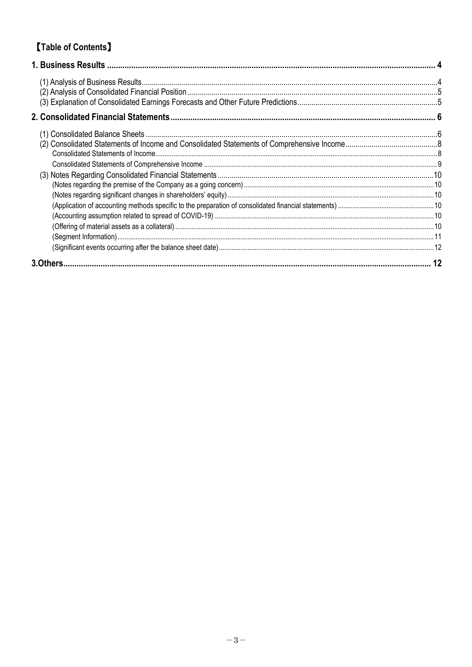# **[Table of Contents]**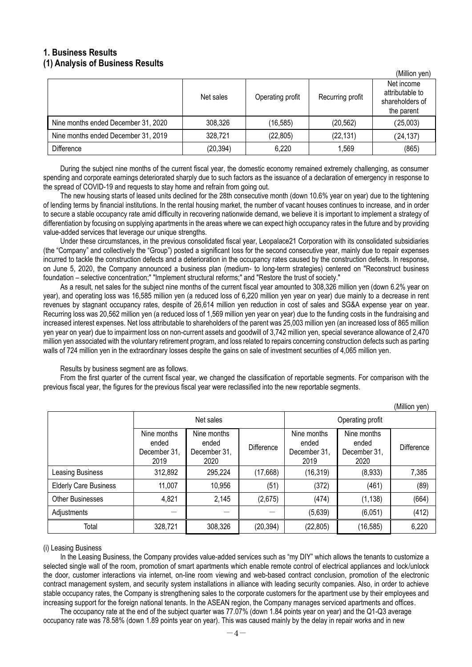## <span id="page-3-1"></span><span id="page-3-0"></span>**1. Business Results (1) Analysis of Business Results**

|                                     |           |                  |                  | (Million yen)<br>Net income                      |
|-------------------------------------|-----------|------------------|------------------|--------------------------------------------------|
|                                     | Net sales | Operating profit | Recurring profit | attributable to<br>shareholders of<br>the parent |
| Nine months ended December 31, 2020 | 308,326   | (16, 585)        | (20, 562)        | (25,003)                                         |
| Nine months ended December 31, 2019 | 328,721   | (22, 805)        | (22, 131)        | (24, 137)                                        |
| <b>Difference</b>                   | (20, 394) | 6,220            | 1,569            | (865)                                            |

During the subject nine months of the current fiscal year, the domestic economy remained extremely challenging, as consumer spending and corporate earnings deteriorated sharply due to such factors as the issuance of a declaration of emergency in response to the spread of COVID-19 and requests to stay home and refrain from going out.

The new housing starts of leased units declined for the 28th consecutive month (down 10.6% year on year) due to the tightening of lending terms by financial institutions. In the rental housing market, the number of vacant houses continues to increase, and in order to secure a stable occupancy rate amid difficulty in recovering nationwide demand, we believe it is important to implement a strategy of differentiation by focusing on supplying apartments in the areas where we can expect high occupancy rates in the future and by providing value-added services that leverage our unique strengths.

Under these circumstances, in the previous consolidated fiscal year, Leopalace21 Corporation with its consolidated subsidiaries (the "Company" and collectively the "Group") posted a significant loss for the second consecutive year, mainly due to repair expenses incurred to tackle the construction defects and a deterioration in the occupancy rates caused by the construction defects. In response, on June 5, 2020, the Company announced a business plan (medium- to long-term strategies) centered on "Reconstruct business foundation – selective concentration;" "Implement structural reforms;" and "Restore the trust of society."

As a result, net sales for the subject nine months of the current fiscal year amounted to 308,326 million yen (down 6.2% year on year), and operating loss was 16,585 million yen (a reduced loss of 6,220 million yen year on year) due mainly to a decrease in rent revenues by stagnant occupancy rates, despite of 26,614 million yen reduction in cost of sales and SG&A expense year on year. Recurring loss was 20,562 million yen (a reduced loss of 1,569 million yen year on year) due to the funding costs in the fundraising and increased interest expenses. Net loss attributable to shareholders of the parent was 25,003 million yen (an increased loss of 865 million yen year on year) due to impairment loss on non-current assets and goodwill of 3,742 million yen, special severance allowance of 2,470 million yen associated with the voluntary retirement program, and loss related to repairs concerning construction defects such as parting walls of 724 million yen in the extraordinary losses despite the gains on sale of investment securities of 4,065 million yen.

Results by business segment are as follows.

From the first quarter of the current fiscal year, we changed the classification of reportable segments. For comparison with the previous fiscal year, the figures for the previous fiscal year were reclassified into the new reportable segments.

|                              |                                              |                                              | Operating profit | (ivililiuli yeri)                            |                                              |            |
|------------------------------|----------------------------------------------|----------------------------------------------|------------------|----------------------------------------------|----------------------------------------------|------------|
|                              | Nine months<br>ended<br>December 31,<br>2019 | Nine months<br>ended<br>December 31,<br>2020 | Difference       | Nine months<br>ended<br>December 31,<br>2019 | Nine months<br>ended<br>December 31,<br>2020 | Difference |
| Leasing Business             | 312,892                                      | 295,224                                      | (17,668)         | (16, 319)                                    | (8,933)                                      | 7,385      |
| <b>Elderly Care Business</b> | 11,007                                       | 10,956                                       | (51)             | (372)                                        | (461)                                        | (89)       |
| <b>Other Businesses</b>      | 4,821                                        | 2,145                                        | (2,675)          | (474)                                        | (1, 138)                                     | (664)      |
| Adjustments                  |                                              |                                              |                  | (5,639)                                      | (6,051)                                      | (412)      |
| Total                        | 328,721                                      | 308,326                                      | (20, 394)        | (22, 805)                                    | (16, 585)                                    | 6,220      |

 $(Million$  yon)

(Million yen)

### (i) Leasing Business

In the Leasing Business, the Company provides value-added services such as "my DIY" which allows the tenants to customize a selected single wall of the room, promotion of smart apartments which enable remote control of electrical appliances and lock/unlock the door, customer interactions via internet, on-line room viewing and web-based contract conclusion, promotion of the electronic contract management system, and security system installations in alliance with leading security companies. Also, in order to achieve stable occupancy rates, the Company is strengthening sales to the corporate customers for the apartment use by their employees and increasing support for the foreign national tenants. In the ASEAN region, the Company manages serviced apartments and offices.

The occupancy rate at the end of the subject quarter was 77.07% (down 1.84 points year on year) and the Q1-Q3 average occupancy rate was 78.58% (down 1.89 points year on year). This was caused mainly by the delay in repair works and in new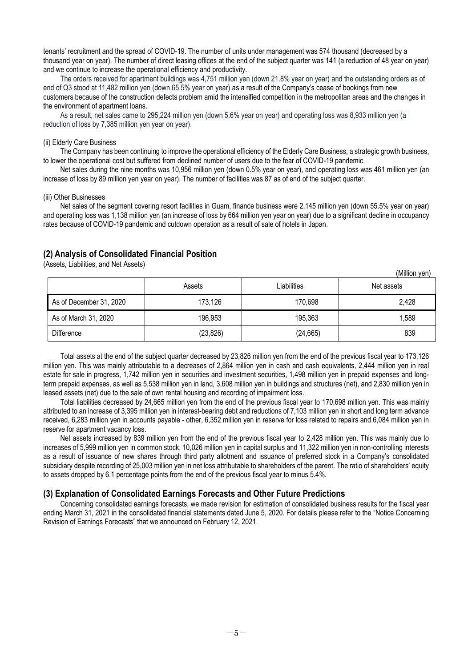tenants' recruitment and the spread of COVID-19. The number of units under management was 574 thousand (decreased by a thousand year on year). The number of direct leasing offices at the end of the subject quarter was 141 (a reduction of 48 year on year) and we continue to increase the operational efficiency and productivity.

The orders received for apartment buildings was 4,751 million yen (down 21.8% year on year) and the outstanding orders as of end of Q3 stood at 11,482 million yen (down 65.5% year on year) as a result of the Company's cease of bookings from new customers because of the construction defects problem amid the intensified competition in the metropolitan areas and the changes in the environment of apartment loans.

As a result, net sales came to 295,224 million yen (down 5.6% year on year) and operating loss was 8,933 million yen (a reduction of loss by 7,385 million yen year on year).

### (ii) Elderly Care Business

The Company has been continuing to improve the operational efficiency of the Elderly Care Business, a strategic growth business, to lower the operational cost but suffered from declined number of users due to the fear of COVID-19 pandemic.

Net sales during the nine months was 10,956 million yen (down 0.5% year on year), and operating loss was 461 million yen (an increase of loss by 89 million yen year on year). The number of facilities was 87 as of end of the subject quarter.

#### (iii) Other Businesses

Net sales of the segment covering resort facilities in Guam, finance business were 2,145 million yen (down 55.5% year on year) and operating loss was 1,138 million yen (an increase of loss by 664 million yen year on year) due to a significant decline in occupancy rates because of COVID-19 pandemic and cutdown operation as a result of sale of hotels in Japan.

### <span id="page-4-0"></span>**(2) Analysis of Consolidated Financial Position**

(Assets, Liabilities, and Net Assets)

|                         |           |             | (Million yen) |
|-------------------------|-----------|-------------|---------------|
|                         | Assets    | Liabilities | Net assets    |
| As of December 31, 2020 | 173,126   | 170,698     | 2,428         |
| As of March 31, 2020    | 196,953   | 195,363     | ,589          |
| Difference              | (23, 826) | (24, 665)   | 839           |

Total assets at the end of the subject quarter decreased by 23,826 million yen from the end of the previous fiscal year to 173,126 million yen. This was mainly attributable to a decreases of 2,864 million yen in cash and cash equivalents, 2,444 million yen in real estate for sale in progress, 1,742 million yen in securities and investment securities, 1,498 million yen in prepaid expenses and longterm prepaid expenses, as well as 5,538 million yen in land, 3,608 million yen in buildings and structures (net), and 2,830 million yen in leased assets (net) due to the sale of own rental housing and recording of impairment loss.

Total liabilities decreased by 24,665 million yen from the end of the previous fiscal year to 170,698 million yen. This was mainly attributed to an increase of 3,395 million yen in interest-bearing debt and reductions of 7,103 million yen in short and long term advance received, 6,283 million yen in accounts payable - other, 6,352 million yen in reserve for loss related to repairs and 6,084 million yen in reserve for apartment vacancy loss.

Net assets increased by 839 million yen from the end of the previous fiscal year to 2,428 million yen. This was mainly due to increases of 5,999 million yen in common stock, 10,026 million yen in capital surplus and 11,322 million yen in non-controlling interests as a result of issuance of new shares through third party allotment and issuance of preferred stock in a Company's consolidated subsidiary despite recording of 25,003 million yen in net loss attributable to shareholders of the parent. The ratio of shareholders' equity to assets dropped by 6.1 percentage points from the end of the previous fiscal year to minus 5.4%.

### <span id="page-4-1"></span>**(3) Explanation of Consolidated Earnings Forecasts and Other Future Predictions**

Concerning consolidated earnings forecasts, we made revision for estimation of consolidated business results for the fiscal year ending March 31, 2021 in the consolidated financial statements dated June 5, 2020. For details please refer to the "Notice Concerning Revision of Earnings Forecasts" that we announced on February 12, 2021.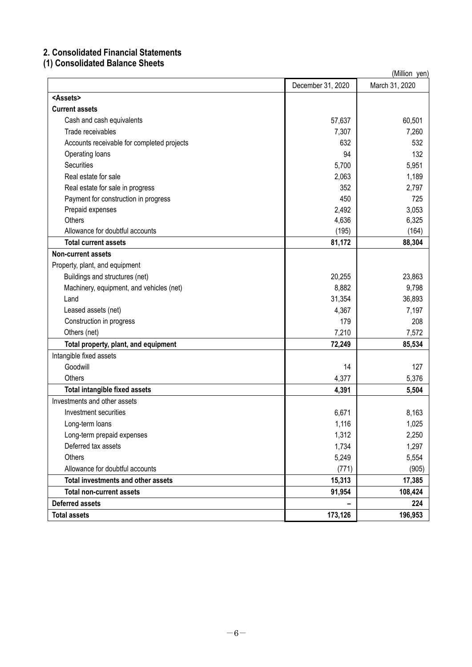# <span id="page-5-0"></span>**2. Consolidated Financial Statements**

# <span id="page-5-1"></span>**(1) Consolidated Balance Sheets**

|                                            | (Million yen)     |                |  |  |
|--------------------------------------------|-------------------|----------------|--|--|
|                                            | December 31, 2020 | March 31, 2020 |  |  |
| <assets></assets>                          |                   |                |  |  |
| <b>Current assets</b>                      |                   |                |  |  |
| Cash and cash equivalents                  | 57,637            | 60,501         |  |  |
| Trade receivables                          | 7,307             | 7,260          |  |  |
| Accounts receivable for completed projects | 632               | 532            |  |  |
| Operating loans                            | 94                | 132            |  |  |
| Securities                                 | 5,700             | 5,951          |  |  |
| Real estate for sale                       | 2,063             | 1,189          |  |  |
| Real estate for sale in progress           | 352               | 2,797          |  |  |
| Payment for construction in progress       | 450               | 725            |  |  |
| Prepaid expenses                           | 2,492             | 3,053          |  |  |
| Others                                     | 4,636             | 6,325          |  |  |
| Allowance for doubtful accounts            | (195)             | (164)          |  |  |
| <b>Total current assets</b>                | 81,172            | 88,304         |  |  |
| <b>Non-current assets</b>                  |                   |                |  |  |
| Property, plant, and equipment             |                   |                |  |  |
| Buildings and structures (net)             | 20,255            | 23,863         |  |  |
| Machinery, equipment, and vehicles (net)   | 8,882             | 9,798          |  |  |
| Land                                       | 31,354            | 36,893         |  |  |
| Leased assets (net)                        | 4,367             | 7,197          |  |  |
| Construction in progress                   | 179               | 208            |  |  |
| Others (net)                               | 7,210             | 7,572          |  |  |
| Total property, plant, and equipment       | 72,249            | 85,534         |  |  |
| Intangible fixed assets                    |                   |                |  |  |
| Goodwill                                   | 14                | 127            |  |  |
| Others                                     | 4,377             | 5,376          |  |  |
| Total intangible fixed assets              | 4,391             | 5,504          |  |  |
| Investments and other assets               |                   |                |  |  |
| Investment securities                      | 6,671             | 8,163          |  |  |
| Long-term loans                            | 1,116             | 1,025          |  |  |
| Long-term prepaid expenses                 | 1,312             | 2,250          |  |  |
| Deferred tax assets                        | 1,734             | 1,297          |  |  |
| Others                                     | 5,249             | 5,554          |  |  |
| Allowance for doubtful accounts            | (771)             | (905)          |  |  |
| Total investments and other assets         | 15,313            | 17,385         |  |  |
| <b>Total non-current assets</b>            | 91,954            | 108,424        |  |  |
| <b>Deferred assets</b>                     |                   | 224            |  |  |
| <b>Total assets</b>                        | 173,126           | 196,953        |  |  |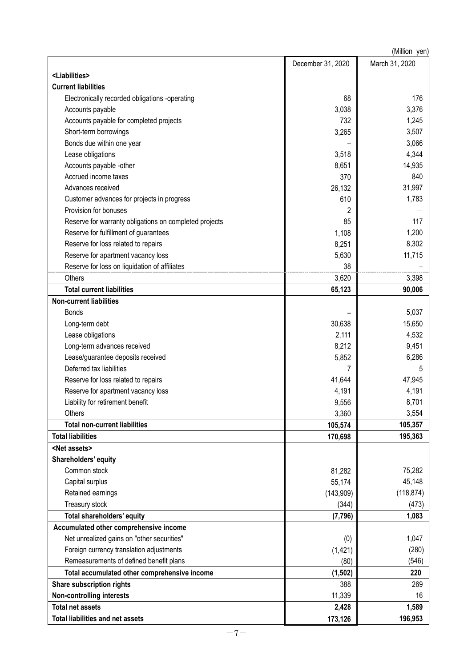|                                                        |                   | (Million yen)  |
|--------------------------------------------------------|-------------------|----------------|
|                                                        | December 31, 2020 | March 31, 2020 |
| <liabilities></liabilities>                            |                   |                |
| <b>Current liabilities</b>                             |                   |                |
| Electronically recorded obligations -operating         | 68                | 176            |
| Accounts payable                                       | 3,038             | 3,376          |
| Accounts payable for completed projects                | 732               | 1,245          |
| Short-term borrowings                                  | 3,265             | 3,507          |
| Bonds due within one year                              |                   | 3,066          |
| Lease obligations                                      | 3,518             | 4,344          |
| Accounts payable -other                                | 8,651             | 14,935         |
| Accrued income taxes                                   | 370               | 840            |
| Advances received                                      | 26,132            | 31,997         |
| Customer advances for projects in progress             | 610               | 1,783          |
| Provision for bonuses                                  | 2                 |                |
| Reserve for warranty obligations on completed projects | 85                | 117            |
| Reserve for fulfillment of guarantees                  | 1,108             | 1,200          |
| Reserve for loss related to repairs                    | 8,251             | 8,302          |
| Reserve for apartment vacancy loss                     | 5,630             | 11,715         |
| Reserve for loss on liquidation of affiliates          | 38                |                |
| Others                                                 | 3,620             | 3,398          |
| <b>Total current liabilities</b>                       | 65,123            | 90,006         |
| <b>Non-current liabilities</b>                         |                   |                |
| <b>Bonds</b>                                           |                   | 5,037          |
| Long-term debt                                         | 30,638            | 15,650         |
| Lease obligations                                      | 2,111             | 4,532          |
| Long-term advances received                            | 8,212             | 9,451          |
| Lease/guarantee deposits received                      | 5,852             | 6,286          |
| Deferred tax liabilities                               | 7                 | 5              |
| Reserve for loss related to repairs                    | 41,644            | 47,945         |
| Reserve for apartment vacancy loss                     | 4,191             | 4,191          |
| Liability for retirement benefit                       | 9,556             | 8,701          |
| Others                                                 | 3,360             | 3,554          |
| <b>Total non-current liabilities</b>                   | 105,574           | 105,357        |
| <b>Total liabilities</b>                               | 170,698           | 195,363        |
| <net assets=""></net>                                  |                   |                |
| Shareholders' equity                                   |                   |                |
| Common stock                                           | 81,282            | 75,282         |
| Capital surplus                                        | 55,174            | 45,148         |
| Retained earnings                                      | (143,909)         | (118, 874)     |
| Treasury stock                                         | (344)             | (473)          |
| Total shareholders' equity                             | (7, 796)          | 1,083          |
| Accumulated other comprehensive income                 |                   |                |
| Net unrealized gains on "other securities"             | (0)               | 1,047          |
| Foreign currency translation adjustments               | (1, 421)          | (280)          |
| Remeasurements of defined benefit plans                | (80)              | (546)          |
| Total accumulated other comprehensive income           | (1, 502)          | 220            |
| Share subscription rights                              | 388               | 269            |
| Non-controlling interests                              | 11,339            | 16             |
| <b>Total net assets</b>                                | 2,428             | 1,589          |
| <b>Total liabilities and net assets</b>                | 173,126           | 196,953        |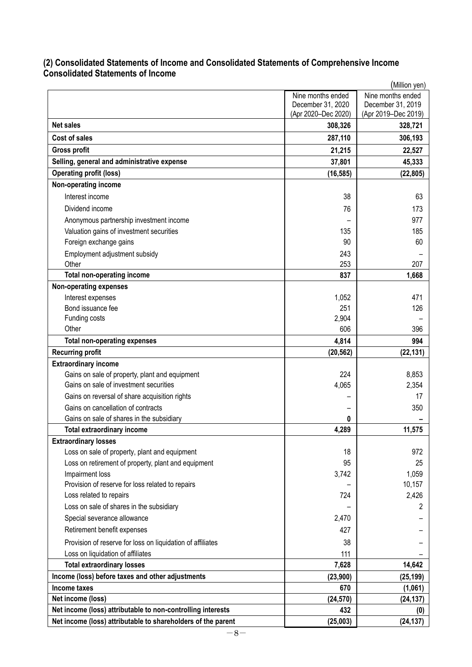## <span id="page-7-1"></span><span id="page-7-0"></span>**(2) Consolidated Statements of Income and Consolidated Statements of Comprehensive Income Consolidated Statements of Income**

|                                                              | (Million yen)       |                     |  |  |  |
|--------------------------------------------------------------|---------------------|---------------------|--|--|--|
|                                                              | Nine months ended   | Nine months ended   |  |  |  |
|                                                              | December 31, 2020   | December 31, 2019   |  |  |  |
|                                                              | (Apr 2020-Dec 2020) | (Apr 2019-Dec 2019) |  |  |  |
| <b>Net sales</b>                                             | 308,326             | 328,721             |  |  |  |
| <b>Cost of sales</b>                                         | 287,110             | 306,193             |  |  |  |
| <b>Gross profit</b>                                          | 21,215              | 22,527              |  |  |  |
| Selling, general and administrative expense                  | 37,801              | 45,333              |  |  |  |
| <b>Operating profit (loss)</b>                               | (16, 585)           | (22, 805)           |  |  |  |
| Non-operating income                                         |                     |                     |  |  |  |
| Interest income                                              | 38                  | 63                  |  |  |  |
| Dividend income                                              | 76                  | 173                 |  |  |  |
| Anonymous partnership investment income                      |                     | 977                 |  |  |  |
| Valuation gains of investment securities                     | 135                 | 185                 |  |  |  |
| Foreign exchange gains                                       | 90                  | 60                  |  |  |  |
| Employment adjustment subsidy                                | 243                 |                     |  |  |  |
| Other                                                        | 253                 | 207                 |  |  |  |
| <b>Total non-operating income</b>                            | 837                 | 1,668               |  |  |  |
| <b>Non-operating expenses</b>                                |                     |                     |  |  |  |
| Interest expenses                                            | 1,052               | 471                 |  |  |  |
| Bond issuance fee                                            | 251                 | 126                 |  |  |  |
| Funding costs                                                | 2,904               |                     |  |  |  |
| Other                                                        | 606                 | 396                 |  |  |  |
| <b>Total non-operating expenses</b>                          | 4,814               | 994                 |  |  |  |
| <b>Recurring profit</b>                                      | (20, 562)           | (22, 131)           |  |  |  |
| <b>Extraordinary income</b>                                  |                     |                     |  |  |  |
| Gains on sale of property, plant and equipment               | 224                 | 8,853               |  |  |  |
| Gains on sale of investment securities                       | 4,065               | 2,354               |  |  |  |
| Gains on reversal of share acquisition rights                |                     | 17                  |  |  |  |
| Gains on cancellation of contracts                           |                     | 350                 |  |  |  |
| Gains on sale of shares in the subsidiary                    | 0                   |                     |  |  |  |
| <b>Total extraordinary income</b>                            | 4,289               | 11,575              |  |  |  |
| <b>Extraordinary losses</b>                                  |                     |                     |  |  |  |
| Loss on sale of property, plant and equipment                | 18                  | 972                 |  |  |  |
| Loss on retirement of property, plant and equipment          | 95                  | 25                  |  |  |  |
| Impairment loss                                              | 3,742               | 1,059               |  |  |  |
| Provision of reserve for loss related to repairs             |                     | 10,157              |  |  |  |
| Loss related to repairs                                      | 724                 | 2,426               |  |  |  |
| Loss on sale of shares in the subsidiary                     |                     | 2                   |  |  |  |
| Special severance allowance                                  | 2,470               |                     |  |  |  |
| Retirement benefit expenses                                  | 427                 |                     |  |  |  |
| Provision of reserve for loss on liquidation of affiliates   | 38                  |                     |  |  |  |
| Loss on liquidation of affiliates                            | 111                 |                     |  |  |  |
| <b>Total extraordinary losses</b>                            | 7,628               | 14,642              |  |  |  |
| Income (loss) before taxes and other adjustments             | (23,900)            | (25, 199)           |  |  |  |
| Income taxes                                                 | 670                 | (1,061)             |  |  |  |
| Net income (loss)                                            | (24, 570)           | (24, 137)           |  |  |  |
| Net income (loss) attributable to non-controlling interests  | 432                 | (0)                 |  |  |  |
| Net income (loss) attributable to shareholders of the parent | (25,003)            | (24, 137)           |  |  |  |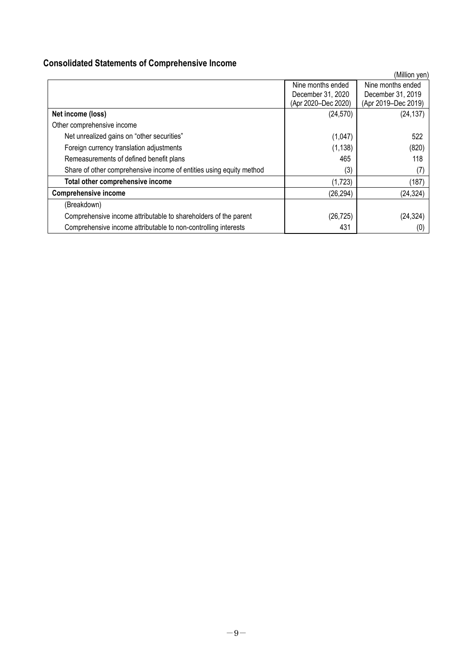# <span id="page-8-0"></span>**Consolidated Statements of Comprehensive Income**

|                                                                     |                     | (Million yen)       |
|---------------------------------------------------------------------|---------------------|---------------------|
|                                                                     | Nine months ended   | Nine months ended   |
|                                                                     | December 31, 2020   | December 31, 2019   |
|                                                                     | (Apr 2020-Dec 2020) | (Apr 2019-Dec 2019) |
| Net income (loss)                                                   | (24, 570)           | (24, 137)           |
| Other comprehensive income                                          |                     |                     |
| Net unrealized gains on "other securities"                          | (1,047)             | 522                 |
| Foreign currency translation adjustments                            | (1, 138)            | (820)               |
| Remeasurements of defined benefit plans                             | 465                 | 118                 |
| Share of other comprehensive income of entities using equity method | (3)                 | (7                  |
| Total other comprehensive income                                    | (1,723)             | (187)               |
| <b>Comprehensive income</b>                                         | (26, 294)           | (24, 324)           |
| (Breakdown)                                                         |                     |                     |
| Comprehensive income attributable to shareholders of the parent     | (26, 725)           | (24, 324)           |
| Comprehensive income attributable to non-controlling interests      | 431                 | (0)                 |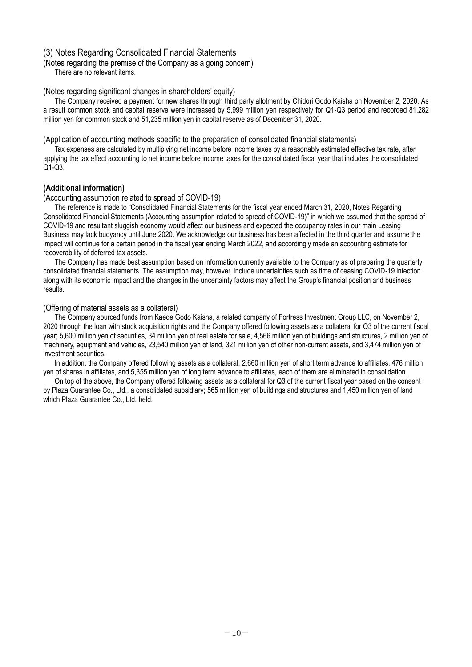### <span id="page-9-0"></span>(3) Notes Regarding Consolidated Financial Statements

<span id="page-9-1"></span>(Notes regarding the premise of the Company as a going concern)

There are no relevant items.

### <span id="page-9-2"></span>(Notes regarding significant changes in shareholders' equity)

The Company received a payment for new shares through third party allotment by Chidori Godo Kaisha on November 2, 2020. As a result common stock and capital reserve were increased by 5,999 million yen respectively for Q1-Q3 period and recorded 81,282 million yen for common stock and 51,235 million yen in capital reserve as of December 31, 2020.

<span id="page-9-3"></span>(Application of accounting methods specific to the preparation of consolidated financial statements)

Tax expenses are calculated by multiplying net income before income taxes by a reasonably estimated effective tax rate, after applying the tax effect accounting to net income before income taxes for the consolidated fiscal year that includes the consolidated Q1-Q3.

### **(Additional information)**

### <span id="page-9-4"></span>(Accounting assumption related to spread of COVID-19)

The reference is made to "Consolidated Financial Statements for the fiscal year ended March 31, 2020, Notes Regarding Consolidated Financial Statements (Accounting assumption related to spread of COVID-19)" in which we assumed that the spread of COVID-19 and resultant sluggish economy would affect our business and expected the occupancy rates in our main Leasing Business may lack buoyancy until June 2020. We acknowledge our business has been affected in the third quarter and assume the impact will continue for a certain period in the fiscal year ending March 2022, and accordingly made an accounting estimate for recoverability of deferred tax assets.

The Company has made best assumption based on information currently available to the Company as of preparing the quarterly consolidated financial statements. The assumption may, however, include uncertainties such as time of ceasing COVID-19 infection along with its economic impact and the changes in the uncertainty factors may affect the Group's financial position and business results.

### <span id="page-9-5"></span>(Offering of material assets as a collateral)

The Company sourced funds from Kaede Godo Kaisha, a related company of Fortress Investment Group LLC, on November 2, 2020 through the loan with stock acquisition rights and the Company offered following assets as a collateral for Q3 of the current fiscal year; 5,600 million yen of securities, 34 million yen of real estate for sale, 4,566 million yen of buildings and structures, 2 million yen of machinery, equipment and vehicles, 23,540 million yen of land, 321 million yen of other non-current assets, and 3,474 million yen of investment securities.

In addition, the Company offered following assets as a collateral; 2,660 million yen of short term advance to affiliates, 476 million yen of shares in affiliates, and 5,355 million yen of long term advance to affiliates, each of them are eliminated in consolidation.

On top of the above, the Company offered following assets as a collateral for Q3 of the current fiscal year based on the consent by Plaza Guarantee Co., Ltd., a consolidated subsidiary; 565 million yen of buildings and structures and 1,450 million yen of land which Plaza Guarantee Co., Ltd. held.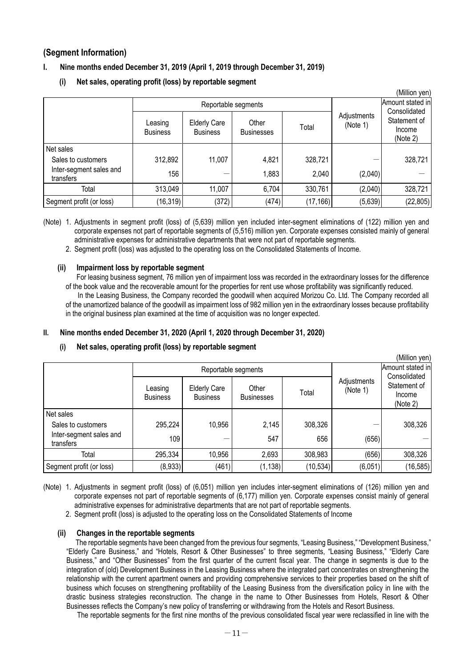## <span id="page-10-0"></span>**(Segment Information)**

## **I. Nine months ended December 31, 2019 (April 1, 2019 through December 31, 2019)**

| (Million yen)                        |                            |                                        |                            |           |                         |                                                    |
|--------------------------------------|----------------------------|----------------------------------------|----------------------------|-----------|-------------------------|----------------------------------------------------|
|                                      | Reportable segments        |                                        |                            |           | Amount stated in        |                                                    |
|                                      | Leasing<br><b>Business</b> | <b>Elderly Care</b><br><b>Business</b> | Other<br><b>Businesses</b> | Total     | Adjustments<br>(Note 1) | Consolidated<br>Statement of<br>Income<br>(Note 2) |
| Net sales                            |                            |                                        |                            |           |                         |                                                    |
| Sales to customers                   | 312,892                    | 11,007                                 | 4,821                      | 328,721   |                         | 328,721                                            |
| Inter-segment sales and<br>transfers | 156                        |                                        | 1,883                      | 2,040     | (2,040)                 |                                                    |
| Total                                | 313,049                    | 11,007                                 | 6,704                      | 330,761   | (2,040)                 | 328,721                                            |
| Segment profit (or loss)             | (16, 319)                  | (372)                                  | (474)                      | (17, 166) | (5,639)                 | (22, 805)                                          |

**(i) Net sales, operating profit (loss) by reportable segment**

(Note) 1. Adjustments in segment profit (loss) of (5,639) million yen included inter-segment eliminations of (122) million yen and corporate expenses not part of reportable segments of (5,516) million yen. Corporate expenses consisted mainly of general administrative expenses for administrative departments that were not part of reportable segments.

2. Segment profit (loss) was adjusted to the operating loss on the Consolidated Statements of Income.

### **(ii) Impairment loss by reportable segment**

For leasing business segment, 76 million yen of impairment loss was recorded in the extraordinary losses for the difference of the book value and the recoverable amount for the properties for rent use whose profitability was significantly reduced.

 In the Leasing Business, the Company recorded the goodwill when acquired Morizou Co. Ltd. The Company recorded all of the unamortized balance of the goodwill as impairment loss of 982 million yen in the extraordinary losses because profitability in the original business plan examined at the time of acquisition was no longer expected.

 $(Millian year)$ 

## **II. Nine months ended December 31, 2020 (April 1, 2020 through December 31, 2020)**

### **(i) Net sales, operating profit (loss) by reportable segment**

|                                      |                            |                                        |                            |           |                         | (IVIIIIIUIT YUIT                                   |
|--------------------------------------|----------------------------|----------------------------------------|----------------------------|-----------|-------------------------|----------------------------------------------------|
|                                      | Reportable segments        |                                        |                            |           | Amount stated in        |                                                    |
|                                      | Leasing<br><b>Business</b> | <b>Elderly Care</b><br><b>Business</b> | Other<br><b>Businesses</b> | Total     | Adjustments<br>(Note 1) | Consolidated<br>Statement of<br>Income<br>(Note 2) |
| Net sales                            |                            |                                        |                            |           |                         |                                                    |
| Sales to customers                   | 295,224                    | 10,956                                 | 2,145                      | 308,326   |                         | 308,326                                            |
| Inter-segment sales and<br>transfers | 109                        |                                        | 547                        | 656       | (656)                   |                                                    |
| Total                                | 295,334                    | 10,956                                 | 2,693                      | 308,983   | (656)                   | 308,326                                            |
| Segment profit (or loss)             | (8,933)                    | (461)                                  | (1, 138)                   | (10, 534) | (6,051)                 | (16, 585)                                          |

(Note) 1. Adjustments in segment profit (loss) of (6,051) million yen includes inter-segment eliminations of (126) million yen and corporate expenses not part of reportable segments of (6,177) million yen. Corporate expenses consist mainly of general administrative expenses for administrative departments that are not part of reportable segments.

2. Segment profit (loss) is adjusted to the operating loss on the Consolidated Statements of Income

### **(ii) Changes in the reportable segments**

The reportable segments have been changed from the previous four segments, "Leasing Business," "Development Business," "Elderly Care Business," and "Hotels, Resort & Other Businesses" to three segments, "Leasing Business," "Elderly Care Business," and "Other Businesses" from the first quarter of the current fiscal year. The change in segments is due to the integration of (old) Development Business in the Leasing Business where the integrated part concentrates on strengthening the relationship with the current apartment owners and providing comprehensive services to their properties based on the shift of business which focuses on strengthening profitability of the Leasing Business from the diversification policy in line with the drastic business strategies reconstruction. The change in the name to Other Businesses from Hotels, Resort & Other Businesses reflects the Company's new policy of transferring or withdrawing from the Hotels and Resort Business.

The reportable segments for the first nine months of the previous consolidated fiscal year were reclassified in line with the